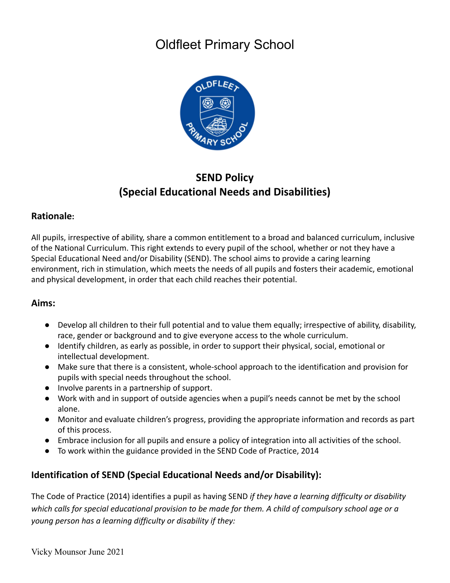

## **SEND Policy (Special Educational Needs and Disabilities)**

## **Rationale:**

All pupils, irrespective of ability, share a common entitlement to a broad and balanced curriculum, inclusive of the National Curriculum. This right extends to every pupil of the school, whether or not they have a Special Educational Need and/or Disability (SEND). The school aims to provide a caring learning environment, rich in stimulation, which meets the needs of all pupils and fosters their academic, emotional and physical development, in order that each child reaches their potential.

## **Aims:**

- Develop all children to their full potential and to value them equally; irrespective of ability, disability, race, gender or background and to give everyone access to the whole curriculum.
- Identify children, as early as possible, in order to support their physical, social, emotional or intellectual development.
- Make sure that there is a consistent, whole-school approach to the identification and provision for pupils with special needs throughout the school.
- Involve parents in a partnership of support.
- Work with and in support of outside agencies when a pupil's needs cannot be met by the school alone.
- Monitor and evaluate children's progress, providing the appropriate information and records as part of this process.
- Embrace inclusion for all pupils and ensure a policy of integration into all activities of the school.
- To work within the guidance provided in the SEND Code of Practice, 2014

## **Identification of SEND (Special Educational Needs and/or Disability):**

The Code of Practice (2014) identifies a pupil as having SEND *if they have a learning difficulty or disability which calls for special educational provision to be made for them. A child of compulsory school age or a young person has a learning difficulty or disability if they:*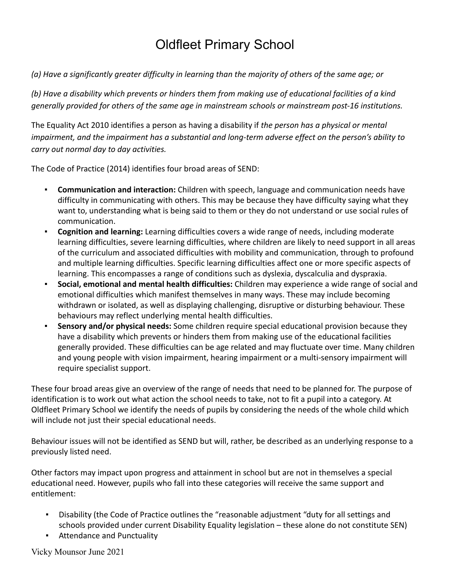*(a) Have a significantly greater difficulty in learning than the majority of others of the same age; or*

*(b) Have a disability which prevents or hinders them from making use of educational facilities of a kind generally provided for others of the same age in mainstream schools or mainstream post-16 institutions.*

The Equality Act 2010 identifies a person as having a disability if *the person has a physical or mental impairment, and the impairment has a substantial and long-term adverse effect on the person's ability to carry out normal day to day activities.*

The Code of Practice (2014) identifies four broad areas of SEND:

- **Communication and interaction:** Children with speech, language and communication needs have difficulty in communicating with others. This may be because they have difficulty saying what they want to, understanding what is being said to them or they do not understand or use social rules of communication.
- **Cognition and learning:** Learning difficulties covers a wide range of needs, including moderate learning difficulties, severe learning difficulties, where children are likely to need support in all areas of the curriculum and associated difficulties with mobility and communication, through to profound and multiple learning difficulties. Specific learning difficulties affect one or more specific aspects of learning. This encompasses a range of conditions such as dyslexia, dyscalculia and dyspraxia.
- **Social, emotional and mental health difficulties:** Children may experience a wide range of social and emotional difficulties which manifest themselves in many ways. These may include becoming withdrawn or isolated, as well as displaying challenging, disruptive or disturbing behaviour. These behaviours may reflect underlying mental health difficulties.
- **Sensory and/or physical needs:** Some children require special educational provision because they have a disability which prevents or hinders them from making use of the educational facilities generally provided. These difficulties can be age related and may fluctuate over time. Many children and young people with vision impairment, hearing impairment or a multi-sensory impairment will require specialist support.

These four broad areas give an overview of the range of needs that need to be planned for. The purpose of identification is to work out what action the school needs to take, not to fit a pupil into a category. At Oldfleet Primary School we identify the needs of pupils by considering the needs of the whole child which will include not just their special educational needs.

Behaviour issues will not be identified as SEND but will, rather, be described as an underlying response to a previously listed need.

Other factors may impact upon progress and attainment in school but are not in themselves a special educational need. However, pupils who fall into these categories will receive the same support and entitlement:

- Disability (the Code of Practice outlines the "reasonable adjustment "duty for all settings and schools provided under current Disability Equality legislation – these alone do not constitute SEN)
- Attendance and Punctuality

Vicky Mounsor June 2021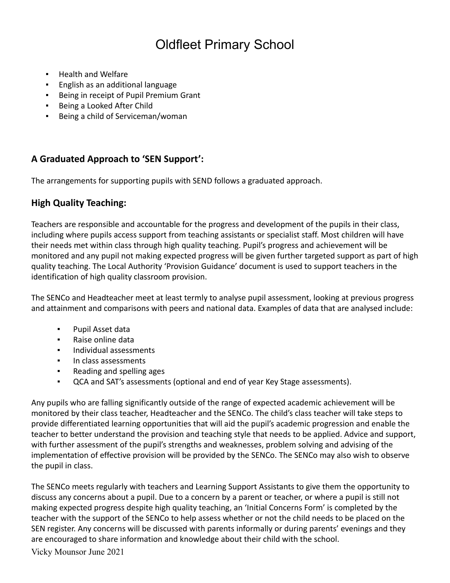- Health and Welfare
- English as an additional language
- Being in receipt of Pupil Premium Grant
- Being a Looked After Child
- Being a child of Serviceman/woman

## **A Graduated Approach to 'SEN Support':**

The arrangements for supporting pupils with SEND follows a graduated approach.

## **High Quality Teaching:**

Teachers are responsible and accountable for the progress and development of the pupils in their class, including where pupils access support from teaching assistants or specialist staff. Most children will have their needs met within class through high quality teaching. Pupil's progress and achievement will be monitored and any pupil not making expected progress will be given further targeted support as part of high quality teaching. The Local Authority 'Provision Guidance' document is used to support teachers in the identification of high quality classroom provision.

The SENCo and Headteacher meet at least termly to analyse pupil assessment, looking at previous progress and attainment and comparisons with peers and national data. Examples of data that are analysed include:

- Pupil Asset data
- Raise online data
- Individual assessments
- In class assessments
- Reading and spelling ages
- QCA and SAT's assessments (optional and end of year Key Stage assessments).

Any pupils who are falling significantly outside of the range of expected academic achievement will be monitored by their class teacher, Headteacher and the SENCo. The child's class teacher will take steps to provide differentiated learning opportunities that will aid the pupil's academic progression and enable the teacher to better understand the provision and teaching style that needs to be applied. Advice and support, with further assessment of the pupil's strengths and weaknesses, problem solving and advising of the implementation of effective provision will be provided by the SENCo. The SENCo may also wish to observe the pupil in class.

The SENCo meets regularly with teachers and Learning Support Assistants to give them the opportunity to discuss any concerns about a pupil. Due to a concern by a parent or teacher, or where a pupil is still not making expected progress despite high quality teaching, an 'Initial Concerns Form' is completed by the teacher with the support of the SENCo to help assess whether or not the child needs to be placed on the SEN register. Any concerns will be discussed with parents informally or during parents' evenings and they are encouraged to share information and knowledge about their child with the school.

Vicky Mounsor June 2021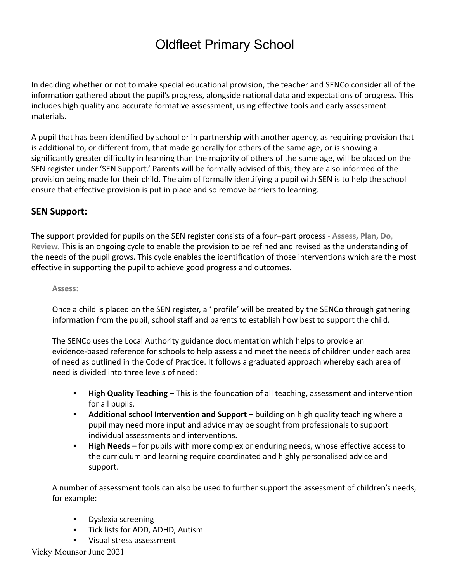In deciding whether or not to make special educational provision, the teacher and SENCo consider all of the information gathered about the pupil's progress, alongside national data and expectations of progress. This includes high quality and accurate formative assessment, using effective tools and early assessment materials.

A pupil that has been identified by school or in partnership with another agency, as requiring provision that is additional to, or different from, that made generally for others of the same age, or is showing a significantly greater difficulty in learning than the majority of others of the same age, will be placed on the SEN register under 'SEN Support.' Parents will be formally advised of this; they are also informed of the provision being made for their child. The aim of formally identifying a pupil with SEN is to help the school ensure that effective provision is put in place and so remove barriers to learning.

### **SEN Support:**

The support provided for pupils on the SEN register consists of a four–part process - **Assess, Plan, Do**, **Review.** This is an ongoing cycle to enable the provision to be refined and revised as the understanding of the needs of the pupil grows. This cycle enables the identification of those interventions which are the most effective in supporting the pupil to achieve good progress and outcomes.

#### **Assess:**

Once a child is placed on the SEN register, a ' profile' will be created by the SENCo through gathering information from the pupil, school staff and parents to establish how best to support the child.

The SENCo uses the Local Authority guidance documentation which helps to provide an evidence-based reference for schools to help assess and meet the needs of children under each area of need as outlined in the Code of Practice. It follows a graduated approach whereby each area of need is divided into three levels of need:

- **High Quality Teaching** This is the foundation of all teaching, assessment and intervention for all pupils.
- **Additional school Intervention and Support** building on high quality teaching where a pupil may need more input and advice may be sought from professionals to support individual assessments and interventions.
- **High Needs** for pupils with more complex or enduring needs, whose effective access to the curriculum and learning require coordinated and highly personalised advice and support.

A number of assessment tools can also be used to further support the assessment of children's needs, for example:

- Dyslexia screening
- Tick lists for ADD, ADHD, Autism
- Visual stress assessment

Vicky Mounsor June 2021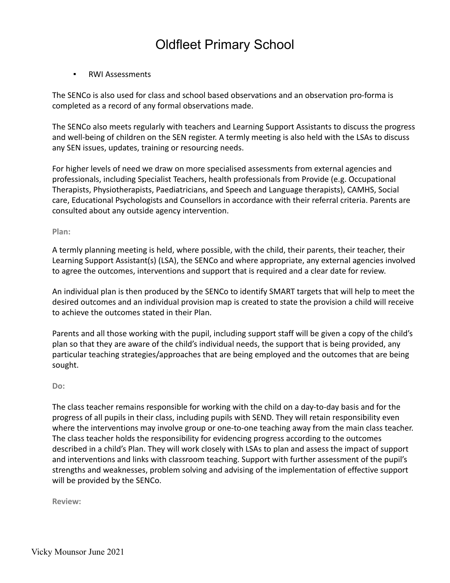▪ RWI Assessments

The SENCo is also used for class and school based observations and an observation pro-forma is completed as a record of any formal observations made.

The SENCo also meets regularly with teachers and Learning Support Assistants to discuss the progress and well-being of children on the SEN register. A termly meeting is also held with the LSAs to discuss any SEN issues, updates, training or resourcing needs.

For higher levels of need we draw on more specialised assessments from external agencies and professionals, including Specialist Teachers, health professionals from Provide (e.g. Occupational Therapists, Physiotherapists, Paediatricians, and Speech and Language therapists), CAMHS, Social care, Educational Psychologists and Counsellors in accordance with their referral criteria. Parents are consulted about any outside agency intervention.

**Plan:**

A termly planning meeting is held, where possible, with the child, their parents, their teacher, their Learning Support Assistant(s) (LSA), the SENCo and where appropriate, any external agencies involved to agree the outcomes, interventions and support that is required and a clear date for review.

An individual plan is then produced by the SENCo to identify SMART targets that will help to meet the desired outcomes and an individual provision map is created to state the provision a child will receive to achieve the outcomes stated in their Plan.

Parents and all those working with the pupil, including support staff will be given a copy of the child's plan so that they are aware of the child's individual needs, the support that is being provided, any particular teaching strategies/approaches that are being employed and the outcomes that are being sought.

#### **Do:**

The class teacher remains responsible for working with the child on a day-to-day basis and for the progress of all pupils in their class, including pupils with SEND. They will retain responsibility even where the interventions may involve group or one-to-one teaching away from the main class teacher. The class teacher holds the responsibility for evidencing progress according to the outcomes described in a child's Plan. They will work closely with LSAs to plan and assess the impact of support and interventions and links with classroom teaching. Support with further assessment of the pupil's strengths and weaknesses, problem solving and advising of the implementation of effective support will be provided by the SENCo.

**Review:**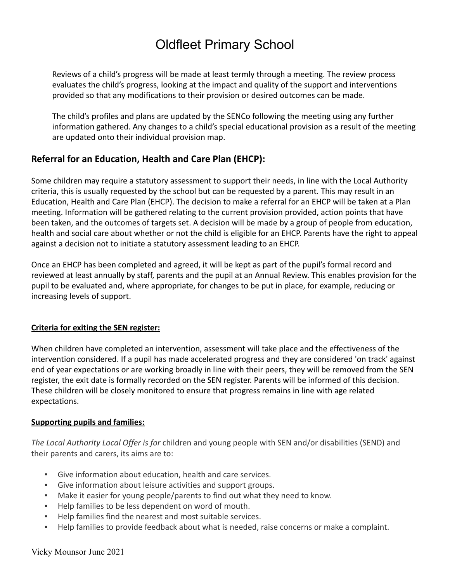Reviews of a child's progress will be made at least termly through a meeting. The review process evaluates the child's progress, looking at the impact and quality of the support and interventions provided so that any modifications to their provision or desired outcomes can be made.

The child's profiles and plans are updated by the SENCo following the meeting using any further information gathered. Any changes to a child's special educational provision as a result of the meeting are updated onto their individual provision map.

## **Referral for an Education, Health and Care Plan (EHCP):**

Some children may require a statutory assessment to support their needs, in line with the Local Authority criteria, this is usually requested by the school but can be requested by a parent. This may result in an Education, Health and Care Plan (EHCP). The decision to make a referral for an EHCP will be taken at a Plan meeting. Information will be gathered relating to the current provision provided, action points that have been taken, and the outcomes of targets set. A decision will be made by a group of people from education, health and social care about whether or not the child is eligible for an EHCP. Parents have the right to appeal against a decision not to initiate a statutory assessment leading to an EHCP.

Once an EHCP has been completed and agreed, it will be kept as part of the pupil's formal record and reviewed at least annually by staff, parents and the pupil at an Annual Review. This enables provision for the pupil to be evaluated and, where appropriate, for changes to be put in place, for example, reducing or increasing levels of support.

### **Criteria for exiting the SEN register:**

When children have completed an intervention, assessment will take place and the effectiveness of the intervention considered. If a pupil has made accelerated progress and they are considered 'on track' against end of year expectations or are working broadly in line with their peers, they will be removed from the SEN register, the exit date is formally recorded on the SEN register. Parents will be informed of this decision. These children will be closely monitored to ensure that progress remains in line with age related expectations.

### **Supporting pupils and families:**

*The Local Authority Local Offer is for* children and young people with SEN and/or disabilities (SEND) and their parents and carers, its aims are to:

- Give information about education, health and care services.
- Give information about leisure activities and support groups.
- Make it easier for young people/parents to find out what they need to know.
- Help families to be less dependent on word of mouth.
- Help families find the nearest and most suitable services.
- Help families to provide feedback about what is needed, raise concerns or make a complaint.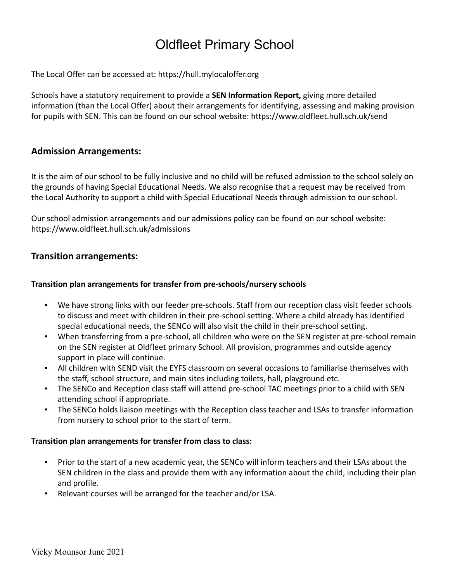The Local Offer can be accessed at: https://hull.mylocaloffer.org

Schools have a statutory requirement to provide a **SEN Information Report,** giving more detailed information (than the Local Offer) about their arrangements for identifying, assessing and making provision for pupils with SEN. This can be found on our school website: https://www.oldfleet.hull.sch.uk/send

## **Admission Arrangements:**

It is the aim of our school to be fully inclusive and no child will be refused admission to the school solely on the grounds of having Special Educational Needs. We also recognise that a request may be received from the Local Authority to support a child with Special Educational Needs through admission to our school.

Our school admission arrangements and our admissions policy can be found on our school website: https://www.oldfleet.hull.sch.uk/admissions

## **Transition arrangements:**

### **Transition plan arrangements for transfer from pre-schools/nursery schools**

- We have strong links with our feeder pre-schools. Staff from our reception class visit feeder schools to discuss and meet with children in their pre-school setting. Where a child already has identified special educational needs, the SENCo will also visit the child in their pre-school setting.
- When transferring from a pre-school, all children who were on the SEN register at pre-school remain on the SEN register at Oldfleet primary School. All provision, programmes and outside agency support in place will continue.
- All children with SEND visit the EYFS classroom on several occasions to familiarise themselves with the staff, school structure, and main sites including toilets, hall, playground etc.
- The SENCo and Reception class staff will attend pre-school TAC meetings prior to a child with SEN attending school if appropriate.
- The SENCo holds liaison meetings with the Reception class teacher and LSAs to transfer information from nursery to school prior to the start of term.

### **Transition plan arrangements for transfer from class to class:**

- Prior to the start of a new academic year, the SENCo will inform teachers and their LSAs about the SEN children in the class and provide them with any information about the child, including their plan and profile.
- Relevant courses will be arranged for the teacher and/or LSA.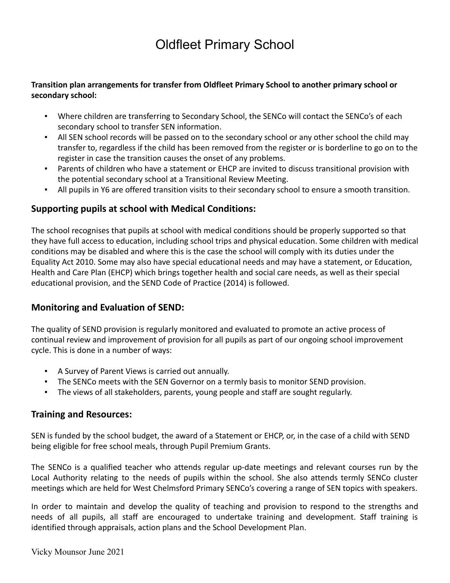### **Transition plan arrangements for transfer from Oldfleet Primary School to another primary school or secondary school:**

- **•** Where children are transferring to Secondary School, the SENCo will contact the SENCo's of each secondary school to transfer SEN information.
- All SEN school records will be passed on to the secondary school or any other school the child may transfer to, regardless if the child has been removed from the register or is borderline to go on to the register in case the transition causes the onset of any problems.
- Parents of children who have a statement or EHCP are invited to discuss transitional provision with the potential secondary school at a Transitional Review Meeting.
- All pupils in Y6 are offered transition visits to their secondary school to ensure a smooth transition.

## **Supporting pupils at school with Medical Conditions:**

The school recognises that pupils at school with medical conditions should be properly supported so that they have full access to education, including school trips and physical education. Some children with medical conditions may be disabled and where this is the case the school will comply with its duties under the Equality Act 2010. Some may also have special educational needs and may have a statement, or Education, Health and Care Plan (EHCP) which brings together health and social care needs, as well as their special educational provision, and the SEND Code of Practice (2014) is followed.

## **Monitoring and Evaluation of SEND:**

The quality of SEND provision is regularly monitored and evaluated to promote an active process of continual review and improvement of provision for all pupils as part of our ongoing school improvement cycle. This is done in a number of ways:

- A Survey of Parent Views is carried out annually.
- **The SENCo meets with the SEN Governor on a termly basis to monitor SEND provision.**
- The views of all stakeholders, parents, young people and staff are sought regularly.

## **Training and Resources:**

SEN is funded by the school budget, the award of a Statement or EHCP, or, in the case of a child with SEND being eligible for free school meals, through Pupil Premium Grants.

The SENCo is a qualified teacher who attends regular up-date meetings and relevant courses run by the Local Authority relating to the needs of pupils within the school. She also attends termly SENCo cluster meetings which are held for West Chelmsford Primary SENCo's covering a range of SEN topics with speakers.

In order to maintain and develop the quality of teaching and provision to respond to the strengths and needs of all pupils, all staff are encouraged to undertake training and development. Staff training is identified through appraisals, action plans and the School Development Plan.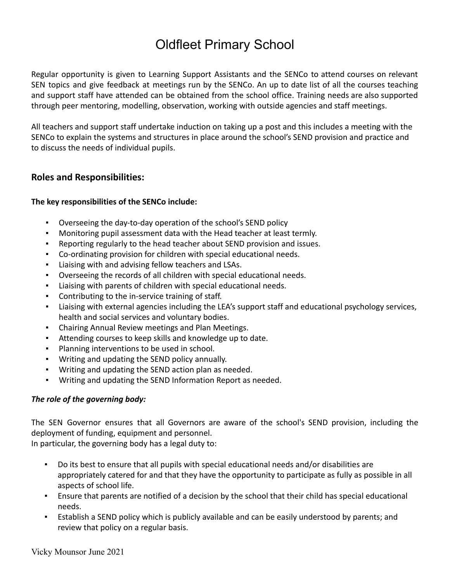Regular opportunity is given to Learning Support Assistants and the SENCo to attend courses on relevant SEN topics and give feedback at meetings run by the SENCo. An up to date list of all the courses teaching and support staff have attended can be obtained from the school office. Training needs are also supported through peer mentoring, modelling, observation, working with outside agencies and staff meetings.

All teachers and support staff undertake induction on taking up a post and this includes a meeting with the SENCo to explain the systems and structures in place around the school's SEND provision and practice and to discuss the needs of individual pupils.

## **Roles and Responsibilities:**

#### **The key responsibilities of the SENCo include:**

- Overseeing the day-to-day operation of the school's SEND policy
- Monitoring pupil assessment data with the Head teacher at least termly.
- Reporting regularly to the head teacher about SEND provision and issues.
- Co-ordinating provision for children with special educational needs.
- Liaising with and advising fellow teachers and LSAs.
- Overseeing the records of all children with special educational needs.
- Liaising with parents of children with special educational needs.
- Contributing to the in-service training of staff.
- Liaising with external agencies including the LEA's support staff and educational psychology services, health and social services and voluntary bodies.
- Chairing Annual Review meetings and Plan Meetings.
- Attending courses to keep skills and knowledge up to date.
- Planning interventions to be used in school.
- Writing and updating the SEND policy annually.
- Writing and updating the SEND action plan as needed.
- Writing and updating the SEND Information Report as needed.

#### *The role of the governing body:*

The SEN Governor ensures that all Governors are aware of the school's SEND provision, including the deployment of funding, equipment and personnel.

In particular, the governing body has a legal duty to:

- Do its best to ensure that all pupils with special educational needs and/or disabilities are appropriately catered for and that they have the opportunity to participate as fully as possible in all aspects of school life.
- Ensure that parents are notified of a decision by the school that their child has special educational needs.
- **E** Establish a SEND policy which is publicly available and can be easily understood by parents; and review that policy on a regular basis.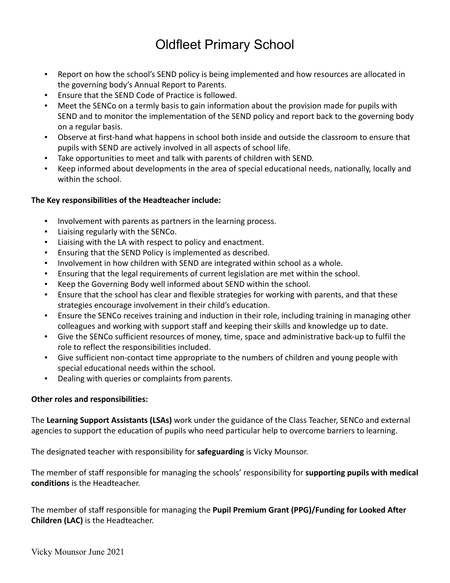- Report on how the school's SEND policy is being implemented and how resources are allocated in the governing body's Annual Report to Parents.
- Ensure that the SEND Code of Practice is followed.
- Meet the SENCo on a termly basis to gain information about the provision made for pupils with SEND and to monitor the implementation of the SEND policy and report back to the governing body on a regular basis.
- Observe at first-hand what happens in school both inside and outside the classroom to ensure that pupils with SEND are actively involved in all aspects of school life.
- Take opportunities to meet and talk with parents of children with SEND.
- Keep informed about developments in the area of special educational needs, nationally, locally and within the school.

### **The Key responsibilities of the Headteacher include:**

- Involvement with parents as partners in the learning process.
- Liaising regularly with the SENCo.
- Liaising with the LA with respect to policy and enactment.
- Ensuring that the SEND Policy is implemented as described.
- Involvement in how children with SEND are integrated within school as a whole.
- **•** Ensuring that the legal requirements of current legislation are met within the school.
- Keep the Governing Body well informed about SEND within the school.
- Ensure that the school has clear and flexible strategies for working with parents, and that these strategies encourage involvement in their child's education.
- **Ensure the SENCo receives training and induction in their role, including training in managing other** colleagues and working with support staff and keeping their skills and knowledge up to date.
- Give the SENCo sufficient resources of money, time, space and administrative back-up to fulfil the role to reflect the responsibilities included.
- Give sufficient non-contact time appropriate to the numbers of children and young people with special educational needs within the school.
- Dealing with queries or complaints from parents.

#### **Other roles and responsibilities:**

The **Learning Support Assistants (LSAs)** work under the guidance of the Class Teacher, SENCo and external agencies to support the education of pupils who need particular help to overcome barriers to learning.

The designated teacher with responsibility for **safeguarding** is Vicky Mounsor.

The member of staff responsible for managing the schools' responsibility for **supporting pupils with medical conditions** is the Headteacher.

The member of staff responsible for managing the **Pupil Premium Grant (PPG)/Funding for Looked After Children (LAC)** is the Headteacher.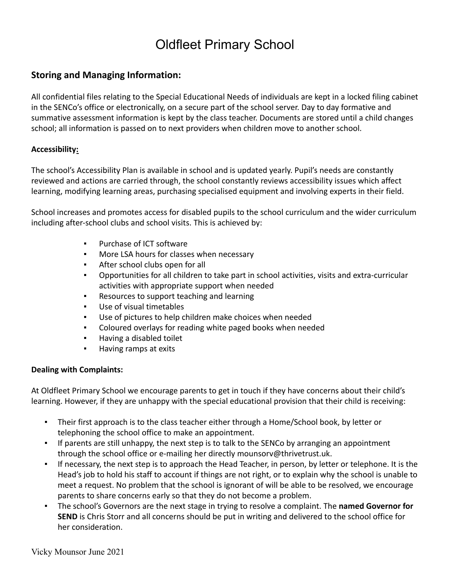## **Storing and Managing Information:**

All confidential files relating to the Special Educational Needs of individuals are kept in a locked filing cabinet in the SENCo's office or electronically, on a secure part of the school server. Day to day formative and summative assessment information is kept by the class teacher. Documents are stored until a child changes school; all information is passed on to next providers when children move to another school.

### **Accessibility:**

The school's Accessibility Plan is available in school and is updated yearly. Pupil's needs are constantly reviewed and actions are carried through, the school constantly reviews accessibility issues which affect learning, modifying learning areas, purchasing specialised equipment and involving experts in their field.

School increases and promotes access for disabled pupils to the school curriculum and the wider curriculum including after-school clubs and school visits. This is achieved by:

- Purchase of ICT software
- More LSA hours for classes when necessary
- After school clubs open for all
- Opportunities for all children to take part in school activities, visits and extra-curricular activities with appropriate support when needed
- Resources to support teaching and learning
- Use of visual timetables
- Use of pictures to help children make choices when needed
- Coloured overlays for reading white paged books when needed
- Having a disabled toilet
- Having ramps at exits

#### **Dealing with Complaints:**

At Oldfleet Primary School we encourage parents to get in touch if they have concerns about their child's learning. However, if they are unhappy with the special educational provision that their child is receiving:

- Their first approach is to the class teacher either through a Home/School book, by letter or telephoning the school office to make an appointment.
- If parents are still unhappy, the next step is to talk to the SENCo by arranging an appointment through the school office or e-mailing her directly mounsorv@thrivetrust.uk.
- If necessary, the next step is to approach the Head Teacher, in person, by letter or telephone. It is the Head's job to hold his staff to account if things are not right, or to explain why the school is unable to meet a request. No problem that the school is ignorant of will be able to be resolved, we encourage parents to share concerns early so that they do not become a problem.
- The school's Governors are the next stage in trying to resolve a complaint. The **named Governor for SEND** is Chris Storr and all concerns should be put in writing and delivered to the school office for her consideration.